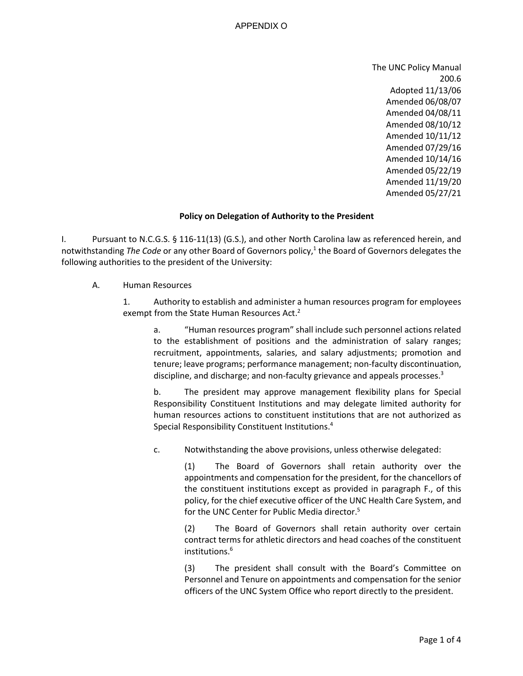The UNC Policy Manual 200.6 Adopted 11/13/06 Amended 06/08/07 Amended 04/08/11 Amended 08/10/12 Amended 10/11/12 Amended 07/29/16 Amended 10/14/16 Amended 05/22/19 Amended 11/19/20 Amended 05/27/21

## **Policy on Delegation of Authority to the President**

I. Pursuant to N.C.G.S. § 116-11(13) (G.S.), and other North Carolina law as referenced herein, and notwithstanding *The Code* or any other Board of Governors policy, 1 the Board of Governors delegates the following authorities to the president of the University:

A. Human Resources

1. Authority to establish and administer a human resources program for employees exempt from the State Human Resources Act.<sup>2</sup>

a. "Human resources program" shall include such personnel actions related to the establishment of positions and the administration of salary ranges; recruitment, appointments, salaries, and salary adjustments; promotion and tenure; leave programs; performance management; non-faculty discontinuation, discipline, and discharge; and non-faculty grievance and appeals processes.<sup>3</sup>

b. The president may approve management flexibility plans for Special Responsibility Constituent Institutions and may delegate limited authority for human resources actions to constituent institutions that are not authorized as Special Responsibility Constituent Institutions. 4

c. Notwithstanding the above provisions, unless otherwise delegated:

(1) The Board of Governors shall retain authority over the appointments and compensation for the president, for the chancellors of the constituent institutions except as provided in paragraph F., of this policy, for the chief executive officer of the UNC Health Care System, and for the UNC Center for Public Media director.<sup>5</sup>

(2) The Board of Governors shall retain authority over certain contract terms for athletic directors and head coaches of the constituent institutions. 6

(3) The president shall consult with the Board's Committee on Personnel and Tenure on appointments and compensation for the senior officers of the UNC System Office who report directly to the president.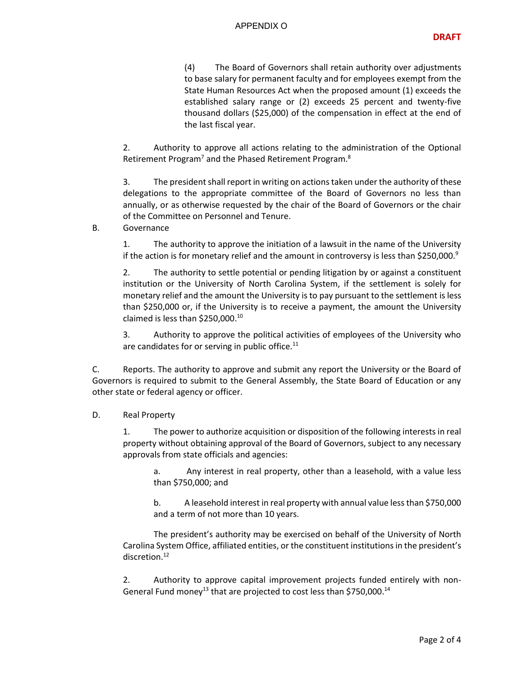(4) The Board of Governors shall retain authority over adjustments to base salary for permanent faculty and for employees exempt from the State Human Resources Act when the proposed amount (1) exceeds the established salary range or (2) exceeds 25 percent and twenty-five thousand dollars (\$25,000) of the compensation in effect at the end of the last fiscal year.

2. Authority to approve all actions relating to the administration of the Optional Retirement Program<sup>7</sup> and the Phased Retirement Program.<sup>8</sup>

3. The president shall report in writing on actions taken under the authority of these delegations to the appropriate committee of the Board of Governors no less than annually, or as otherwise requested by the chair of the Board of Governors or the chair of the Committee on Personnel and Tenure.

## B. Governance

1. The authority to approve the initiation of a lawsuit in the name of the University if the action is for monetary relief and the amount in controversy is less than \$250,000.<sup>9</sup>

2. The authority to settle potential or pending litigation by or against a constituent institution or the University of North Carolina System, if the settlement is solely for monetary relief and the amount the University is to pay pursuant to the settlement is less than \$250,000 or, if the University is to receive a payment, the amount the University claimed is less than \$250,000. 10

3. Authority to approve the political activities of employees of the University who are candidates for or serving in public office. $11$ 

C. Reports. The authority to approve and submit any report the University or the Board of Governors is required to submit to the General Assembly, the State Board of Education or any other state or federal agency or officer.

## D. Real Property

1. The power to authorize acquisition or disposition of the following interests in real property without obtaining approval of the Board of Governors, subject to any necessary approvals from state officials and agencies:

a. Any interest in real property, other than a leasehold, with a value less than \$750,000; and

b. A leasehold interest in real property with annual value less than \$750,000 and a term of not more than 10 years.

The president's authority may be exercised on behalf of the University of North Carolina System Office, affiliated entities, or the constituent institutions in the president's discretion. 12

2. Authority to approve capital improvement projects funded entirely with non-General Fund money<sup>13</sup> that are projected to cost less than \$750,000.<sup>14</sup>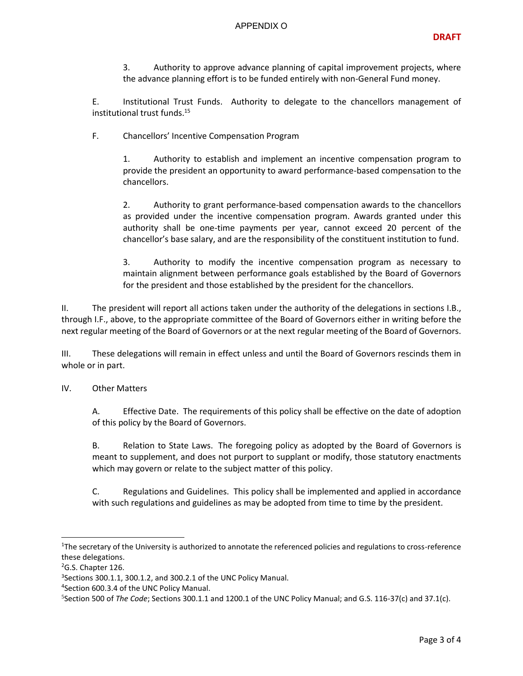## APPENDIX O

3. Authority to approve advance planning of capital improvement projects, where the advance planning effort is to be funded entirely with non-General Fund money.

E. Institutional Trust Funds. Authority to delegate to the chancellors management of institutional trust funds.<sup>15</sup>

F. Chancellors' Incentive Compensation Program

1. Authority to establish and implement an incentive compensation program to provide the president an opportunity to award performance-based compensation to the chancellors.

2. Authority to grant performance-based compensation awards to the chancellors as provided under the incentive compensation program. Awards granted under this authority shall be one-time payments per year, cannot exceed 20 percent of the chancellor's base salary, and are the responsibility of the constituent institution to fund.

3. Authority to modify the incentive compensation program as necessary to maintain alignment between performance goals established by the Board of Governors for the president and those established by the president for the chancellors.

II. The president will report all actions taken under the authority of the delegations in sections I.B., through I.F., above, to the appropriate committee of the Board of Governors either in writing before the next regular meeting of the Board of Governors or at the next regular meeting of the Board of Governors.

III. These delegations will remain in effect unless and until the Board of Governors rescinds them in whole or in part.

IV. Other Matters

A. Effective Date. The requirements of this policy shall be effective on the date of adoption of this policy by the Board of Governors.

B. Relation to State Laws. The foregoing policy as adopted by the Board of Governors is meant to supplement, and does not purport to supplant or modify, those statutory enactments which may govern or relate to the subject matter of this policy.

C. Regulations and Guidelines. This policy shall be implemented and applied in accordance with such regulations and guidelines as may be adopted from time to time by the president.

<sup>&</sup>lt;sup>1</sup>The secretary of the University is authorized to annotate the referenced policies and regulations to cross-reference these delegations.

 $2$ G.S. Chapter 126.

<sup>3</sup> Sections 300.1.1, 300.1.2, and 300.2.1 of the UNC Policy Manual.

<sup>4</sup> Section 600.3.4 of the UNC Policy Manual.

<sup>5</sup> Section 500 of *The Code*; Sections 300.1.1 and 1200.1 of the UNC Policy Manual; and G.S. 116-37(c) and 37.1(c).